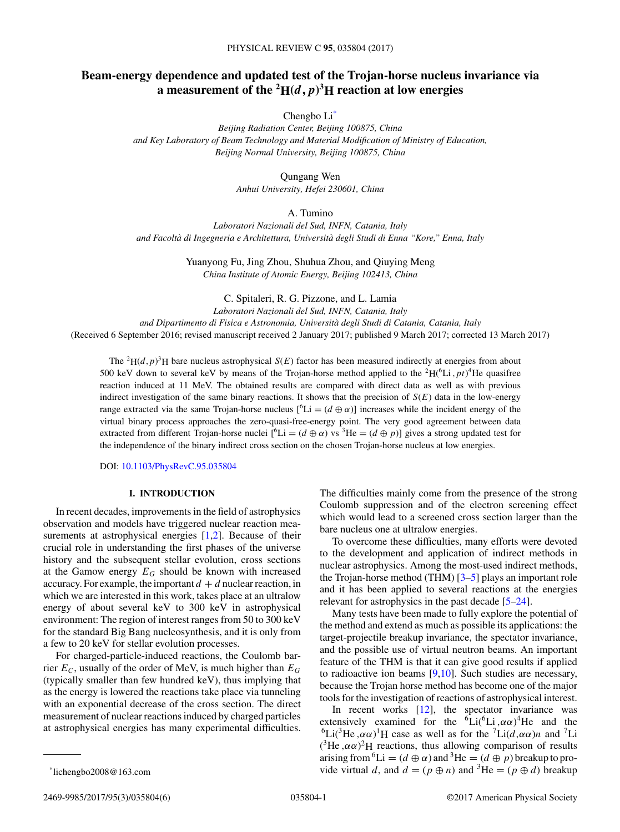# **Beam-energy dependence and updated test of the Trojan-horse nucleus invariance via a** measurement of the  $^2\mathbf{H}(d,p)^3\mathbf{H}$  reaction at low energies

Chengbo Li\*

*Beijing Radiation Center, Beijing 100875, China and Key Laboratory of Beam Technology and Material Modification of Ministry of Education, Beijing Normal University, Beijing 100875, China*

> Qungang Wen *Anhui University, Hefei 230601, China*

> > A. Tumino

*Laboratori Nazionali del Sud, INFN, Catania, Italy and Facolta di Ingegneria e Architettura, Universit ` a degli Studi di Enna "Kore," Enna, Italy `*

> Yuanyong Fu, Jing Zhou, Shuhua Zhou, and Qiuying Meng *China Institute of Atomic Energy, Beijing 102413, China*

> > C. Spitaleri, R. G. Pizzone, and L. Lamia

*Laboratori Nazionali del Sud, INFN, Catania, Italy*

*and Dipartimento di Fisica e Astronomia, Universita degli Studi di Catania, Catania, Italy `*

(Received 6 September 2016; revised manuscript received 2 January 2017; published 9 March 2017; corrected 13 March 2017)

The <sup>2</sup>H( $(d, p)$ <sup>3</sup>H bare nucleus astrophysical *S*(*E*) factor has been measured indirectly at energies from about 500 keV down to several keV by means of the Trojan-horse method applied to the <sup>2</sup> $H(^{6}Li, pt)^{4}$ He quasifree reaction induced at 11 MeV. The obtained results are compared with direct data as well as with previous indirect investigation of the same binary reactions. It shows that the precision of  $S(E)$  data in the low-energy range extracted via the same Trojan-horse nucleus  $[{}^6Li = (d \oplus \alpha)]$  increases while the incident energy of the virtual binary process approaches the zero-quasi-free-energy point. The very good agreement between data extracted from different Trojan-horse nuclei  $[{}^6\text{Li} = (d \oplus \alpha)$  vs <sup>3</sup>He =  $(d \oplus p)$ ] gives a strong updated test for the independence of the binary indirect cross section on the chosen Trojan-horse nucleus at low energies.

DOI: [10.1103/PhysRevC.95.035804](https://doi.org/10.1103/PhysRevC.95.035804)

#### **I. INTRODUCTION**

In recent decades, improvements in the field of astrophysics observation and models have triggered nuclear reaction measurements at astrophysical energies  $[1,2]$ . Because of their crucial role in understanding the first phases of the universe history and the subsequent stellar evolution, cross sections at the Gamow energy  $E_G$  should be known with increased accuracy. For example, the important  $d + d$  nuclear reaction, in which we are interested in this work, takes place at an ultralow energy of about several keV to 300 keV in astrophysical environment: The region of interest ranges from 50 to 300 keV for the standard Big Bang nucleosynthesis, and it is only from a few to 20 keV for stellar evolution processes.

For charged-particle-induced reactions, the Coulomb barrier  $E_C$ , usually of the order of MeV, is much higher than  $E_G$ (typically smaller than few hundred keV), thus implying that as the energy is lowered the reactions take place via tunneling with an exponential decrease of the cross section. The direct measurement of nuclear reactions induced by charged particles at astrophysical energies has many experimental difficulties. The difficulties mainly come from the presence of the strong Coulomb suppression and of the electron screening effect which would lead to a screened cross section larger than the bare nucleus one at ultralow energies.

To overcome these difficulties, many efforts were devoted to the development and application of indirect methods in nuclear astrophysics. Among the most-used indirect methods, the Trojan-horse method (THM) [\[3–5\]](#page-5-0) plays an important role and it has been applied to several reactions at the energies relevant for astrophysics in the past decade [\[5–24\]](#page-5-0).

Many tests have been made to fully explore the potential of the method and extend as much as possible its applications: the target-projectile breakup invariance, the spectator invariance, and the possible use of virtual neutron beams. An important feature of the THM is that it can give good results if applied to radioactive ion beams [\[9,10\]](#page-5-0). Such studies are necessary, because the Trojan horse method has become one of the major tools for the investigation of reactions of astrophysical interest.

In recent works [\[12\]](#page-5-0), the spectator invariance was extensively examined for the  ${}^{6}Li({}^{6}Li, \alpha\alpha)^{4}He$  and the <sup>6</sup>Li(<sup>3</sup>He, $\alpha \alpha$ )<sup>1</sup>H case as well as for the <sup>7</sup>Li( $d, \alpha \alpha$ )n and <sup>7</sup>Li  $({}^{3}\text{He}, \alpha\alpha)^{2}\text{H}$  reactions, thus allowing comparison of results arising from <sup>6</sup>Li = ( $d \oplus \alpha$ ) and <sup>3</sup>He = ( $d \oplus p$ ) breakup to provide virtual *d*, and  $d = (p \oplus n)$  and <sup>3</sup>He =  $(p \oplus d)$  breakup

<sup>\*</sup>lichengbo2008@163.com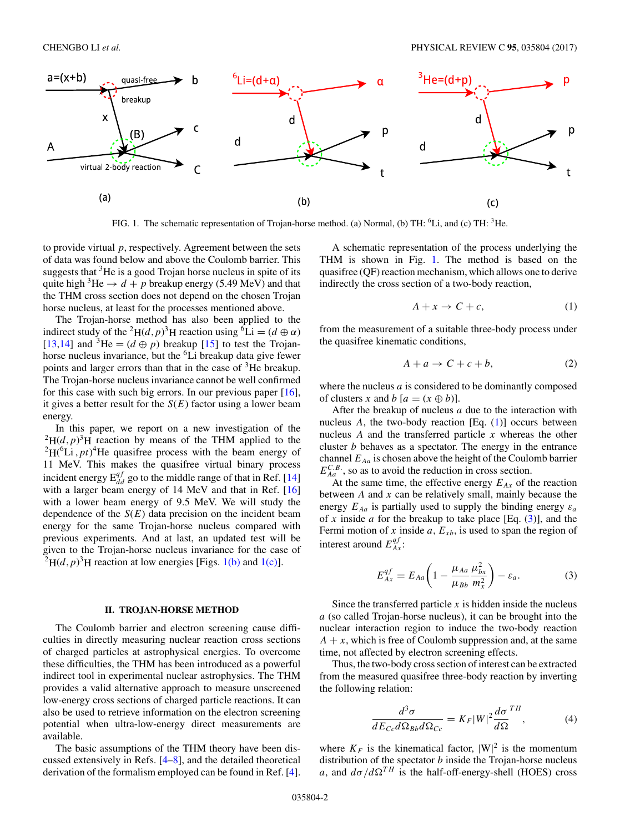

FIG. 1. The schematic representation of Trojan-horse method. (a) Normal, (b) TH: <sup>6</sup>Li, and (c) TH: <sup>3</sup>He.

to provide virtual *p*, respectively. Agreement between the sets of data was found below and above the Coulomb barrier. This suggests that <sup>3</sup>He is a good Trojan horse nucleus in spite of its quite high <sup>3</sup>He  $\rightarrow d + p$  breakup energy (5.49 MeV) and that the THM cross section does not depend on the chosen Trojan horse nucleus, at least for the processes mentioned above.

The Trojan-horse method has also been applied to the indirect study of the <sup>2</sup>H(*d*, *p*)<sup>3</sup>H reaction using <sup>6</sup>Li = (*d*  $\oplus \alpha$ ) [\[13,14\]](#page-5-0) and <sup>3</sup>He =  $(d \oplus p)$  breakup [\[15\]](#page-5-0) to test the Trojanhorse nucleus invariance, but the <sup>6</sup>Li breakup data give fewer points and larger errors than that in the case of <sup>3</sup>He breakup. The Trojan-horse nucleus invariance cannot be well confirmed for this case with such big errors. In our previous paper [\[16\]](#page-5-0), it gives a better result for the  $S(E)$  factor using a lower beam energy.

In this paper, we report on a new investigation of the  $^{2}H(d,p)^{3}H$  reaction by means of the THM applied to the  ${}^{2}H(^{6}Li$ , *pt*)<sup>4</sup>He quasifree process with the beam energy of 11 MeV. This makes the quasifree virtual binary process incident energy  $E_{dd}^{qf}$  go to the middle range of that in Ref. [\[14\]](#page-5-0) with a larger beam energy of 14 MeV and that in Ref. [\[16\]](#page-5-0) with a lower beam energy of 9.5 MeV. We will study the dependence of the  $S(E)$  data precision on the incident beam energy for the same Trojan-horse nucleus compared with previous experiments. And at last, an updated test will be given to the Trojan-horse nucleus invariance for the case of  $^{2}H(d,p)^{3}H$  reaction at low energies [Figs. 1(b) and 1(c)].

#### **II. TROJAN-HORSE METHOD**

The Coulomb barrier and electron screening cause difficulties in directly measuring nuclear reaction cross sections of charged particles at astrophysical energies. To overcome these difficulties, the THM has been introduced as a powerful indirect tool in experimental nuclear astrophysics. The THM provides a valid alternative approach to measure unscreened low-energy cross sections of charged particle reactions. It can also be used to retrieve information on the electron screening potential when ultra-low-energy direct measurements are available.

The basic assumptions of the THM theory have been discussed extensively in Refs. [\[4–8\]](#page-5-0), and the detailed theoretical derivation of the formalism employed can be found in Ref. [\[4\]](#page-5-0).

A schematic representation of the process underlying the THM is shown in Fig. 1. The method is based on the quasifree (QF) reaction mechanism, which allows one to derive indirectly the cross section of a two-body reaction,

$$
A + x \to C + c,\tag{1}
$$

from the measurement of a suitable three-body process under the quasifree kinematic conditions,

$$
A + a \to C + c + b,\tag{2}
$$

where the nucleus *a* is considered to be dominantly composed of clusters *x* and *b*  $[a = (x \oplus b)].$ 

After the breakup of nucleus *a* due to the interaction with nucleus  $A$ , the two-body reaction [Eq.  $(1)$ ] occurs between nucleus *A* and the transferred particle *x* whereas the other cluster *b* behaves as a spectator. The energy in the entrance channel  $E_{Aa}$  is chosen above the height of the Coulomb barrier  $E_{Aa}^{C.B.}$ , so as to avoid the reduction in cross section.

At the same time, the effective energy  $E_{Ax}$  of the reaction between *A* and *x* can be relatively small, mainly because the energy  $E_{Aa}$  is partially used to supply the binding energy  $\varepsilon_a$ of  $x$  inside  $a$  for the breakup to take place [Eq.  $(3)$ ], and the Fermi motion of  $x$  inside  $a$ ,  $E_{xb}$ , is used to span the region of interest around  $E_{Ax}^{qf}$ :

$$
E_{Ax}^{qf} = E_{Aa} \left( 1 - \frac{\mu_{Aa}}{\mu_{Bb}} \frac{\mu_{bx}^2}{m_x^2} \right) - \varepsilon_a.
$$
 (3)

Since the transferred particle *x* is hidden inside the nucleus *a* (so called Trojan-horse nucleus), it can be brought into the nuclear interaction region to induce the two-body reaction  $A + x$ , which is free of Coulomb suppression and, at the same time, not affected by electron screening effects.

Thus, the two-body cross section of interest can be extracted from the measured quasifree three-body reaction by inverting the following relation:

$$
\frac{d^3\sigma}{dE_{Cc}d\Omega_{Bb}d\Omega_{Cc}} = K_F|W|^2 \frac{d\sigma}{d\Omega}^{TH},\tag{4}
$$

where  $K_F$  is the kinematical factor,  $|W|^2$  is the momentum distribution of the spectator *b* inside the Trojan-horse nucleus *a*, and  $d\sigma/d\Omega^{TH}$  is the half-off-energy-shell (HOES) cross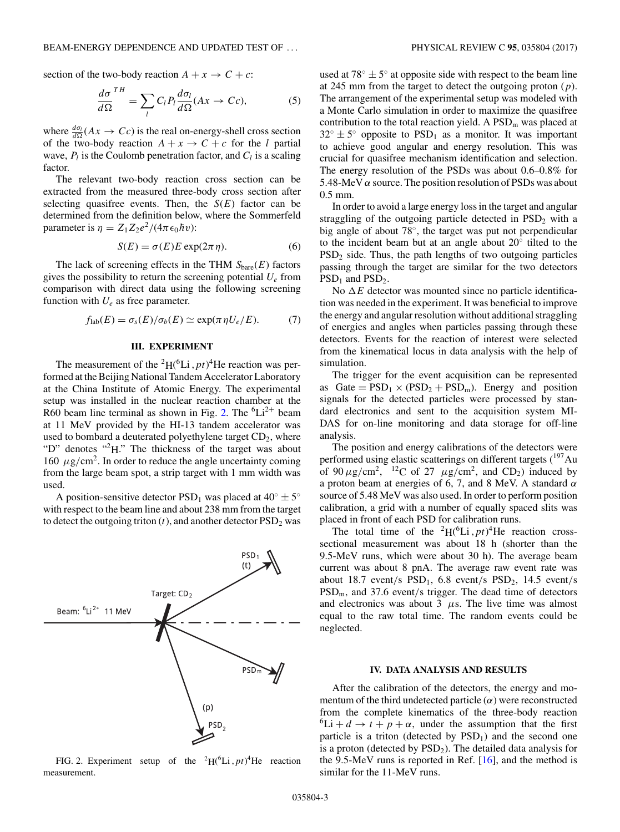section of the two-body reaction  $A + x \rightarrow C + c$ :

$$
\frac{d\sigma}{d\Omega}^{TH} = \sum_{l} C_{l} P_{l} \frac{d\sigma_{l}}{d\Omega} (Ax \to Cc),
$$
 (5)

where  $\frac{d\sigma_l}{d\Omega}(Ax \to Cc)$  is the real on-energy-shell cross section of the two-body reaction  $A + x \rightarrow C + c$  for the *l* partial wave,  $P_l$  is the Coulomb penetration factor, and  $C_l$  is a scaling factor.

The relevant two-body reaction cross section can be extracted from the measured three-body cross section after selecting quasifree events. Then, the *S*(*E*) factor can be determined from the definition below, where the Sommerfeld parameter is  $\eta = Z_1 Z_2 e^2/(4\pi \epsilon_0 \hbar v)$ :

$$
S(E) = \sigma(E)E \exp(2\pi \eta). \tag{6}
$$

The lack of screening effects in the THM  $S<sub>bare</sub>(E)$  factors gives the possibility to return the screening potential *Ue* from comparison with direct data using the following screening function with  $U_e$  as free parameter.

$$
f_{\text{lab}}(E) = \sigma_s(E) / \sigma_b(E) \simeq \exp(\pi \eta U_e / E). \tag{7}
$$

## **III. EXPERIMENT**

The measurement of the <sup>2</sup> $H$ <sup>(6</sup>Li, *pt*)<sup>4</sup>He reaction was performed at the Beijing National Tandem Accelerator Laboratory at the China Institute of Atomic Energy. The experimental setup was installed in the nuclear reaction chamber at the R60 beam line terminal as shown in Fig. 2. The  ${}^{6}Li^{2+}$  beam at 11 MeV provided by the HI-13 tandem accelerator was used to bombard a deuterated polyethylene target  $CD<sub>2</sub>$ , where "D" denotes "<sup>2</sup>H." The thickness of the target was about 160  $\mu$ g/cm<sup>2</sup>. In order to reduce the angle uncertainty coming from the large beam spot, a strip target with 1 mm width was used.

A position-sensitive detector PSD<sub>1</sub> was placed at  $40^{\circ} \pm 5^{\circ}$ with respect to the beam line and about 238 mm from the target to detect the outgoing triton  $(t)$ , and another detector  $PSD<sub>2</sub>$  was



FIG. 2. Experiment setup of the <sup>2</sup> $H$ <sup>(6</sup>Li, *pt*)<sup>4</sup>He reaction measurement.

used at  $78^\circ \pm 5^\circ$  at opposite side with respect to the beam line at 245 mm from the target to detect the outgoing proton (*p*). The arrangement of the experimental setup was modeled with a Monte Carlo simulation in order to maximize the quasifree contribution to the total reaction yield. A  $PSD<sub>m</sub>$  was placed at  $32^{\circ} \pm 5^{\circ}$  opposite to PSD<sub>1</sub> as a monitor. It was important to achieve good angular and energy resolution. This was crucial for quasifree mechanism identification and selection. The energy resolution of the PSDs was about 0.6–0.8% for 5.48-MeV *α* source. The position resolution of PSDs was about 0.5 mm.

In order to avoid a large energy loss in the target and angular straggling of the outgoing particle detected in  $PSD<sub>2</sub>$  with a big angle of about 78◦, the target was put not perpendicular to the incident beam but at an angle about 20◦ tilted to the  $PSD<sub>2</sub>$  side. Thus, the path lengths of two outgoing particles passing through the target are similar for the two detectors  $PSD<sub>1</sub>$  and  $PSD<sub>2</sub>$ .

No  $\Delta E$  detector was mounted since no particle identification was needed in the experiment. It was beneficial to improve the energy and angular resolution without additional straggling of energies and angles when particles passing through these detectors. Events for the reaction of interest were selected from the kinematical locus in data analysis with the help of simulation.

The trigger for the event acquisition can be represented as  $Gate = PSD_1 \times (PSD_2 + PSD_m)$ . Energy and position signals for the detected particles were processed by standard electronics and sent to the acquisition system MI-DAS for on-line monitoring and data storage for off-line analysis.

The position and energy calibrations of the detectors were performed using elastic scatterings on different targets  $(^{197}Au$ of  $90 \mu$ g/cm<sup>2</sup>, <sup>12</sup>C of 27  $\mu$ g/cm<sup>2</sup>, and CD<sub>2</sub>) induced by a proton beam at energies of 6, 7, and 8 MeV. A standard *α* source of 5.48 MeV was also used. In order to perform position calibration, a grid with a number of equally spaced slits was placed in front of each PSD for calibration runs.

The total time of the <sup>2</sup>H( ${}^{6}$ Li, *pt*)<sup>4</sup>He reaction crosssectional measurement was about 18 h (shorter than the 9.5-MeV runs, which were about 30 h). The average beam current was about 8 pnA. The average raw event rate was about 18.7 event*/*s PSD1, 6.8 event*/*s PSD2, 14.5 event*/*s PSDm, and 37.6 event*/*s trigger. The dead time of detectors and electronics was about  $3 \mu s$ . The live time was almost equal to the raw total time. The random events could be neglected.

# **IV. DATA ANALYSIS AND RESULTS**

After the calibration of the detectors, the energy and momentum of the third undetected particle  $(\alpha)$  were reconstructed from the complete kinematics of the three-body reaction <sup>6</sup>Li +  $d \rightarrow t + p + \alpha$ , under the assumption that the first particle is a triton (detected by  $PSD<sub>1</sub>$ ) and the second one is a proton (detected by  $PSD<sub>2</sub>$ ). The detailed data analysis for the 9.5-MeV runs is reported in Ref. [\[16\]](#page-5-0), and the method is similar for the 11-MeV runs.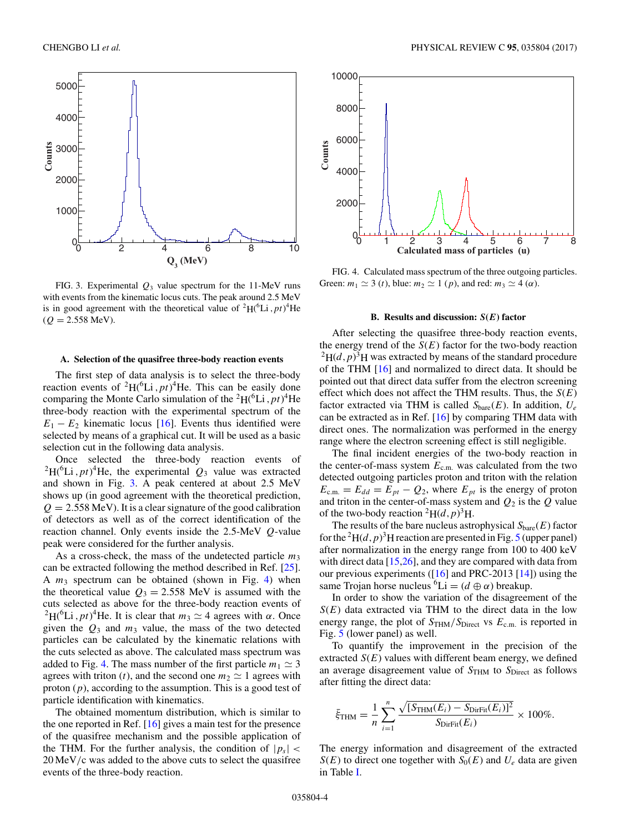

FIG. 3. Experimental  $Q_3$  value spectrum for the 11-MeV runs with events from the kinematic locus cuts. The peak around 2.5 MeV is in good agreement with the theoretical value of  ${}^{2}H({}^{6}Li, pt)^{4}He$  $(Q = 2.558 \text{ MeV}).$ 

#### **A. Selection of the quasifree three-body reaction events**

The first step of data analysis is to select the three-body reaction events of  ${}^{2}H({}^{6}Li, pt)^{4}He$ . This can be easily done comparing the Monte Carlo simulation of the <sup>2</sup> $H$ <sup>(6</sup>Li, *pt*)<sup>4</sup>He three-body reaction with the experimental spectrum of the  $E_1 - E_2$  kinematic locus [\[16\]](#page-5-0). Events thus identified were selected by means of a graphical cut. It will be used as a basic selection cut in the following data analysis.

Once selected the three-body reaction events of  ${}^{2}H(^{6}Li, pt)^{4}He$ , the experimental  $Q_3$  value was extracted and shown in Fig. 3. A peak centered at about 2.5 MeV shows up (in good agreement with the theoretical prediction,  $Q = 2.558$  MeV). It is a clear signature of the good calibration of detectors as well as of the correct identification of the reaction channel. Only events inside the 2.5-MeV *Q*-value peak were considered for the further analysis.

As a cross-check, the mass of the undetected particle  $m_3$ can be extracted following the method described in Ref. [\[25\]](#page-5-0). A *m*<sup>3</sup> spectrum can be obtained (shown in Fig. 4) when the theoretical value  $Q_3 = 2.558$  MeV is assumed with the cuts selected as above for the three-body reaction events of <sup>2</sup>H(<sup>6</sup>Li, *pt*)<sup>4</sup>He. It is clear that  $m_3 \simeq 4$  agrees with *α*. Once given the  $Q_3$  and  $m_3$  value, the mass of the two detected particles can be calculated by the kinematic relations with the cuts selected as above. The calculated mass spectrum was added to Fig. 4. The mass number of the first particle  $m_1 \simeq 3$ agrees with triton (*t*), and the second one  $m_2 \simeq 1$  agrees with proton (*p*), according to the assumption. This is a good test of particle identification with kinematics.

The obtained momentum distribution, which is similar to the one reported in Ref. [\[16\]](#page-5-0) gives a main test for the presence of the quasifree mechanism and the possible application of the THM. For the further analysis, the condition of  $|p_s|$  < 20 MeV*/*c was added to the above cuts to select the quasifree events of the three-body reaction.



FIG. 4. Calculated mass spectrum of the three outgoing particles. Green:  $m_1 \simeq 3$  (*t*), blue:  $m_2 \simeq 1$  (*p*), and red:  $m_3 \simeq 4$  ( $\alpha$ ).

# **B. Results and discussion:** *S***(***E***) factor**

After selecting the quasifree three-body reaction events, the energy trend of the  $S(E)$  factor for the two-body reaction  $^{2}H(d,p)^{3}H$  was extracted by means of the standard procedure of the THM [\[16\]](#page-5-0) and normalized to direct data. It should be pointed out that direct data suffer from the electron screening effect which does not affect the THM results. Thus, the *S*(*E*) factor extracted via THM is called  $S<sub>bare</sub>(E)$ . In addition,  $U<sub>e</sub>$ can be extracted as in Ref. [\[16\]](#page-5-0) by comparing THM data with direct ones. The normalization was performed in the energy range where the electron screening effect is still negligible.

The final incident energies of the two-body reaction in the center-of-mass system  $E_{\text{c.m.}}$  was calculated from the two detected outgoing particles proton and triton with the relation  $E_{\text{c.m.}} = E_{dd} = E_{pt} - Q_2$ , where  $E_{pt}$  is the energy of proton and triton in the center-of-mass system and  $Q_2$  is the  $Q$  value of the two-body reaction <sup>2</sup>H( $d$ ,  $p$ )<sup>3</sup>H.

The results of the bare nucleus astrophysical  $S_{\text{bare}}(E)$  factor for the <sup>2</sup> $H(d, p)$ <sup>3</sup>H reaction are presented in Fig. [5](#page-4-0) (upper panel) after normalization in the energy range from 100 to 400 keV with direct data [\[15,26\]](#page-5-0), and they are compared with data from our previous experiments ( $[16]$  and PRC-2013  $[14]$ ) using the same Trojan horse nucleus <sup>6</sup>Li =  $(d \oplus \alpha)$  breakup.

In order to show the variation of the disagreement of the  $S(E)$  data extracted via THM to the direct data in the low energy range, the plot of  $S_{\text{THM}}/S_{\text{Direct}}$  vs  $E_{\text{c.m.}}$  is reported in Fig. [5](#page-4-0) (lower panel) as well.

To quantify the improvement in the precision of the extracted  $S(E)$  values with different beam energy, we defined an average disagreement value of  $S<sub>THM</sub>$  to  $S<sub>Direct</sub>$  as follows after fitting the direct data:

$$
\bar{\xi}_{\text{THM}} = \frac{1}{n} \sum_{i=1}^{n} \frac{\sqrt{[S_{\text{THM}}(E_i) - S_{\text{DirFit}}(E_i)]^2}}{S_{\text{DirFit}}(E_i)} \times 100\%.
$$

The energy information and disagreement of the extracted  $S(E)$  to direct one together with  $S_0(E)$  and  $U_e$  data are given in Table [I.](#page-4-0)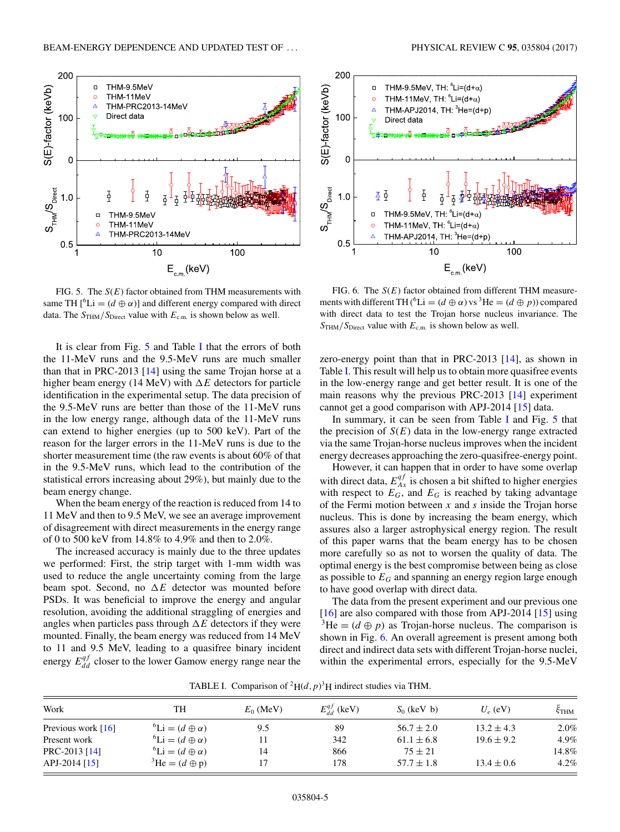<span id="page-4-0"></span>

FIG. 5. The *S*(*E*) factor obtained from THM measurements with same TH  $[{}^6\text{Li} = (d \oplus \alpha)]$  and different energy compared with direct data. The  $S_{\text{THM}}/S_{\text{Direct}}$  value with  $E_{\text{c.m.}}$  is shown below as well.

It is clear from Fig. 5 and Table I that the errors of both the 11-MeV runs and the 9.5-MeV runs are much smaller than that in PRC-2013 [\[14\]](#page-5-0) using the same Trojan horse at a higher beam energy (14 MeV) with  $\Delta E$  detectors for particle identification in the experimental setup. The data precision of the 9.5-MeV runs are better than those of the 11-MeV runs in the low energy range, although data of the 11-MeV runs can extend to higher energies (up to 500 keV). Part of the reason for the larger errors in the 11-MeV runs is due to the shorter measurement time (the raw events is about 60% of that in the 9.5-MeV runs, which lead to the contribution of the statistical errors increasing about 29%), but mainly due to the beam energy change.

When the beam energy of the reaction is reduced from 14 to 11 MeV and then to 9.5 MeV, we see an average improvement of disagreement with direct measurements in the energy range of 0 to 500 keV from 14.8% to 4.9% and then to 2.0%.

The increased accuracy is mainly due to the three updates we performed: First, the strip target with 1-mm width was used to reduce the angle uncertainty coming from the large beam spot. Second, no  $\Delta E$  detector was mounted before PSDs. It was beneficial to improve the energy and angular resolution, avoiding the additional straggling of energies and angles when particles pass through  $\Delta E$  detectors if they were mounted. Finally, the beam energy was reduced from 14 MeV to 11 and 9.5 MeV, leading to a quasifree binary incident energy  $E_{dd}^{qf}$  closer to the lower Gamow energy range near the



FIG. 6. The *S*(*E*) factor obtained from different THM measurements with different TH (<sup>6</sup>Li = ( $d \oplus \alpha$ ) vs<sup>3</sup>He = ( $d \oplus p$ )) compared with direct data to test the Trojan horse nucleus invariance. The *S*THM*/S*Direct value with *E*c*.*m*.* is shown below as well.

zero-energy point than that in PRC-2013 [\[14\]](#page-5-0), as shown in Table I. This result will help us to obtain more quasifree events in the low-energy range and get better result. It is one of the main reasons why the previous PRC-2013 [\[14\]](#page-5-0) experiment cannot get a good comparison with APJ-2014 [\[15\]](#page-5-0) data.

In summary, it can be seen from Table I and Fig.  $5$  that the precision of  $S(E)$  data in the low-energy range extracted via the same Trojan-horse nucleus improves when the incident energy decreases approaching the zero-quasifree-energy point.

However, it can happen that in order to have some overlap with direct data,  $E_{Ax}^{qf}$  is chosen a bit shifted to higher energies with respect to  $E_G$ , and  $E_G$  is reached by taking advantage of the Fermi motion between *x* and *s* inside the Trojan horse nucleus. This is done by increasing the beam energy, which assures also a larger astrophysical energy region. The result of this paper warns that the beam energy has to be chosen more carefully so as not to worsen the quality of data. The optimal energy is the best compromise between being as close as possible to *EG* and spanning an energy region large enough to have good overlap with direct data.

The data from the present experiment and our previous one [\[16\]](#page-5-0) are also compared with those from APJ-2014 [\[15\]](#page-5-0) using  $3\text{He} = (d \oplus p)$  as Trojan-horse nucleus. The comparison is shown in Fig. 6. An overall agreement is present among both direct and indirect data sets with different Trojan-horse nuclei, within the experimental errors, especially for the 9.5-MeV

TABLE I. Comparison of <sup>2</sup> $H(d, p)^3H$  indirect studies via THM.

| Work                 | TH                                  | $E_0$ (MeV) | $E_{dd}^{qf}$ (keV) | $S_0$ (keV b)  | $U_e$ (eV)     | ξтнм  |
|----------------------|-------------------------------------|-------------|---------------------|----------------|----------------|-------|
| Previous work $[16]$ | ${}^6\text{Li} = (d \oplus \alpha)$ | 9.5         | 89                  | $56.7 \pm 2.0$ | $13.2 \pm 4.3$ | 2.0%  |
| Present work         | ${}^6\text{Li} = (d \oplus \alpha)$ |             | 342                 | $61.1 \pm 6.8$ | $19.6 \pm 9.2$ | 4.9%  |
| PRC-2013 [14]        | ${}^6\text{Li} = (d \oplus \alpha)$ | 14          | 866                 | $75 \pm 21$    |                | 14.8% |
| APJ-2014 $[15]$      | $^3$ He = $(d \oplus p)$            |             | 178                 | $57.7 \pm 1.8$ | $13.4 \pm 0.6$ | 4.2%  |